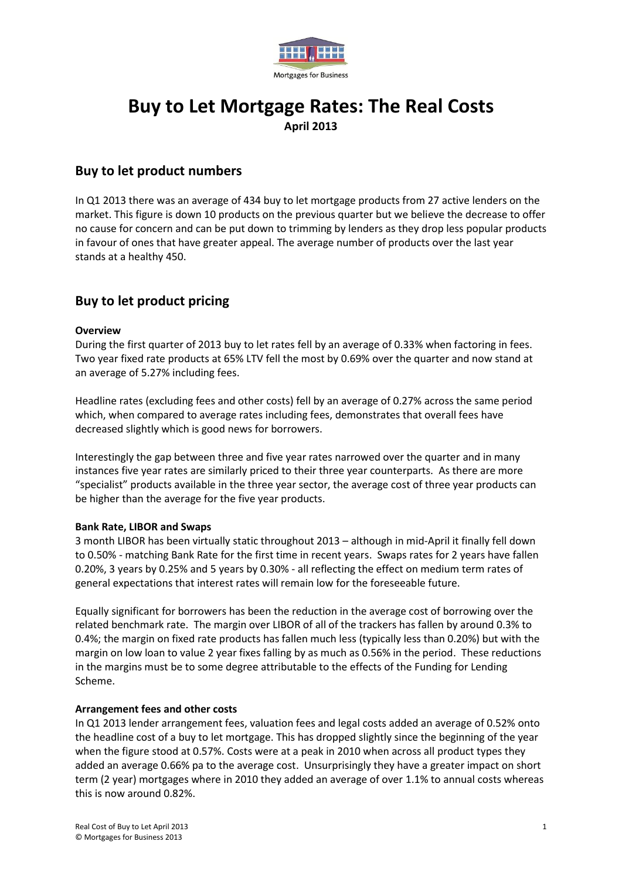

# **Buy to Let Mortgage Rates: The Real Costs April 2013**

# **Buy to let product numbers**

In Q1 2013 there was an average of 434 buy to let mortgage products from 27 active lenders on the market. This figure is down 10 products on the previous quarter but we believe the decrease to offer no cause for concern and can be put down to trimming by lenders as they drop less popular products in favour of ones that have greater appeal. The average number of products over the last year stands at a healthy 450.

# **Buy to let product pricing**

## **Overview**

During the first quarter of 2013 buy to let rates fell by an average of 0.33% when factoring in fees. Two year fixed rate products at 65% LTV fell the most by 0.69% over the quarter and now stand at an average of 5.27% including fees.

Headline rates (excluding fees and other costs) fell by an average of 0.27% across the same period which, when compared to average rates including fees, demonstrates that overall fees have decreased slightly which is good news for borrowers.

Interestingly the gap between three and five year rates narrowed over the quarter and in many instances five year rates are similarly priced to their three year counterparts. As there are more "specialist" products available in the three year sector, the average cost of three year products can be higher than the average for the five year products.

### **Bank Rate, LIBOR and Swaps**

3 month LIBOR has been virtually static throughout 2013 – although in mid-April it finally fell down to 0.50% - matching Bank Rate for the first time in recent years. Swaps rates for 2 years have fallen 0.20%, 3 years by 0.25% and 5 years by 0.30% - all reflecting the effect on medium term rates of general expectations that interest rates will remain low for the foreseeable future.

Equally significant for borrowers has been the reduction in the average cost of borrowing over the related benchmark rate. The margin over LIBOR of all of the trackers has fallen by around 0.3% to 0.4%; the margin on fixed rate products has fallen much less (typically less than 0.20%) but with the margin on low loan to value 2 year fixes falling by as much as 0.56% in the period. These reductions in the margins must be to some degree attributable to the effects of the Funding for Lending Scheme.

### **Arrangement fees and other costs**

In Q1 2013 lender arrangement fees, valuation fees and legal costs added an average of 0.52% onto the headline cost of a buy to let mortgage. This has dropped slightly since the beginning of the year when the figure stood at 0.57%. Costs were at a peak in 2010 when across all product types they added an average 0.66% pa to the average cost. Unsurprisingly they have a greater impact on short term (2 year) mortgages where in 2010 they added an average of over 1.1% to annual costs whereas this is now around 0.82%.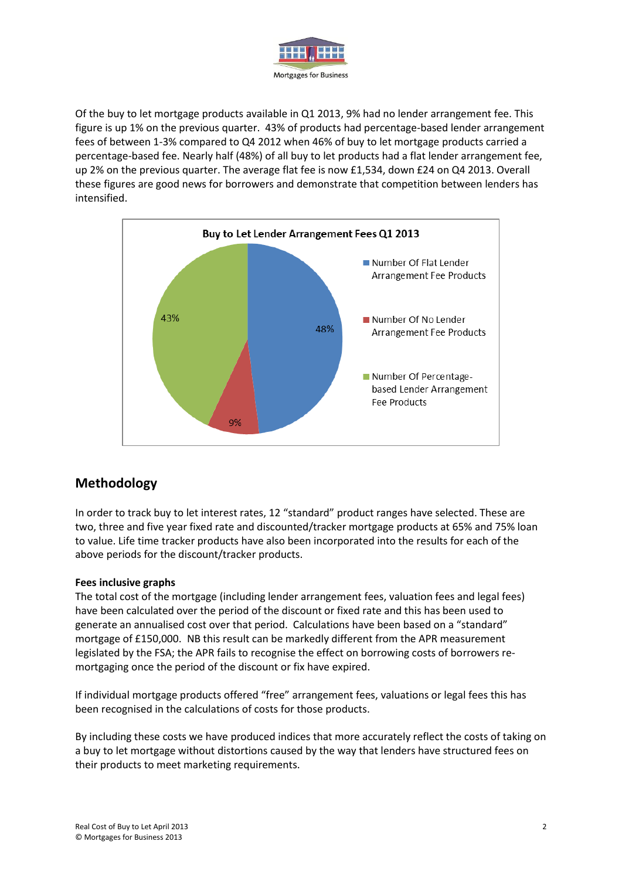

Of the buy to let mortgage products available in Q1 2013, 9% had no lender arrangement fee. This figure is up 1% on the previous quarter. 43% of products had percentage-based lender arrangement fees of between 1-3% compared to Q4 2012 when 46% of buy to let mortgage products carried a percentage-based fee. Nearly half (48%) of all buy to let products had a flat lender arrangement fee, up 2% on the previous quarter. The average flat fee is now £1,534, down £24 on Q4 2013. Overall these figures are good news for borrowers and demonstrate that competition between lenders has intensified.



# **Methodology**

In order to track buy to let interest rates, 12 "standard" product ranges have selected. These are two, three and five year fixed rate and discounted/tracker mortgage products at 65% and 75% loan to value. Life time tracker products have also been incorporated into the results for each of the above periods for the discount/tracker products.

# **Fees inclusive graphs**

The total cost of the mortgage (including lender arrangement fees, valuation fees and legal fees) have been calculated over the period of the discount or fixed rate and this has been used to generate an annualised cost over that period. Calculations have been based on a "standard" mortgage of £150,000. NB this result can be markedly different from the APR measurement legislated by the FSA; the APR fails to recognise the effect on borrowing costs of borrowers remortgaging once the period of the discount or fix have expired.

If individual mortgage products offered "free" arrangement fees, valuations or legal fees this has been recognised in the calculations of costs for those products.

By including these costs we have produced indices that more accurately reflect the costs of taking on a buy to let mortgage without distortions caused by the way that lenders have structured fees on their products to meet marketing requirements.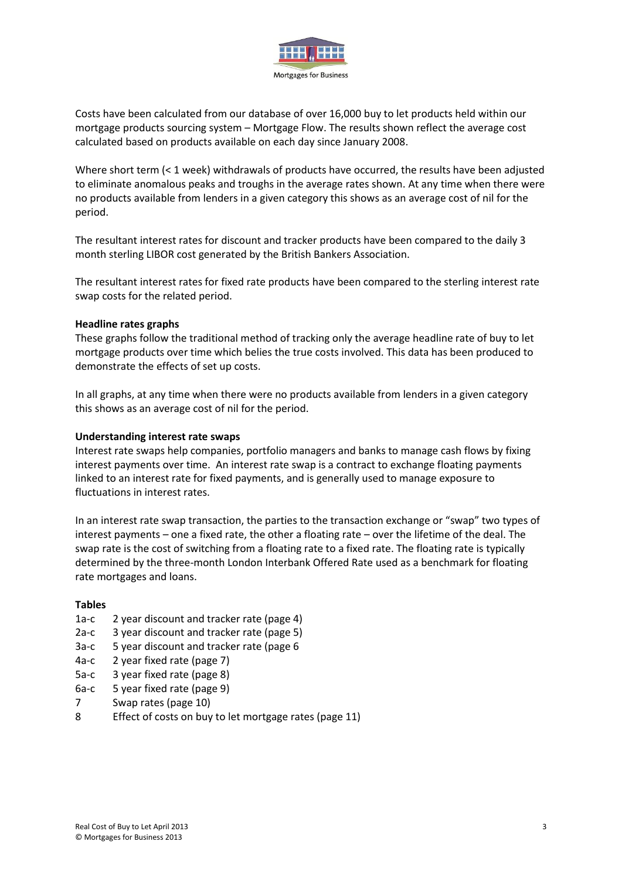

Costs have been calculated from our database of over 16,000 buy to let products held within our mortgage products sourcing system – Mortgage Flow. The results shown reflect the average cost calculated based on products available on each day since January 2008.

Where short term (< 1 week) withdrawals of products have occurred, the results have been adjusted to eliminate anomalous peaks and troughs in the average rates shown. At any time when there were no products available from lenders in a given category this shows as an average cost of nil for the period.

The resultant interest rates for discount and tracker products have been compared to the daily 3 month sterling LIBOR cost generated by the British Bankers Association.

The resultant interest rates for fixed rate products have been compared to the sterling interest rate swap costs for the related period.

### **Headline rates graphs**

These graphs follow the traditional method of tracking only the average headline rate of buy to let mortgage products over time which belies the true costs involved. This data has been produced to demonstrate the effects of set up costs.

In all graphs, at any time when there were no products available from lenders in a given category this shows as an average cost of nil for the period.

#### **Understanding interest rate swaps**

Interest rate swaps help companies, portfolio managers and banks to manage cash flows by fixing interest payments over time. An interest rate swap is a contract to exchange floating payments linked to an interest rate for fixed payments, and is generally used to manage exposure to fluctuations in interest rates.

In an interest rate swap transaction, the parties to the transaction exchange or "swap" two types of interest payments – one a fixed rate, the other a floating rate – over the lifetime of the deal. The swap rate is the cost of switching from a floating rate to a fixed rate. The floating rate is typically determined by the three-month London Interbank Offered Rate used as a benchmark for floating rate mortgages and loans.

#### **Tables**

- 1a-c 2 year discount and tracker rate (page 4)
- 2a-c 3 year discount and tracker rate (page 5)
- 3a-c 5 year discount and tracker rate (page 6
- 4a-c 2 year fixed rate (page 7)
- 5a-c 3 year fixed rate (page 8)
- 6a-c 5 year fixed rate (page 9)
- 7 Swap rates (page 10)
- 8 Effect of costs on buy to let mortgage rates (page 11)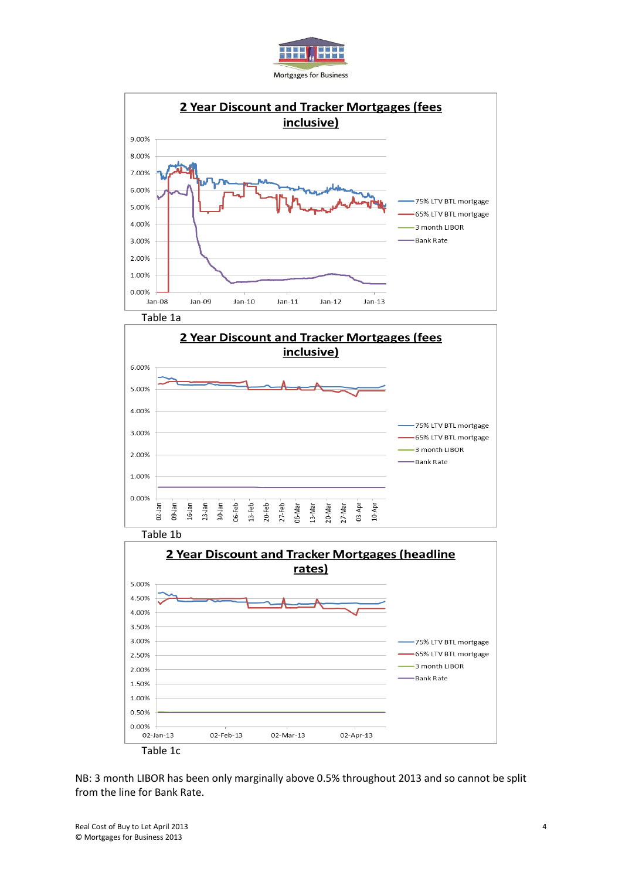



02-Jan-13 Table 1c 02-Feb-13

NB: 3 month LIBOR has been only marginally above 0.5% throughout 2013 and so cannot be split from the line for Bank Rate.

02-Apr-13

02-Mar-13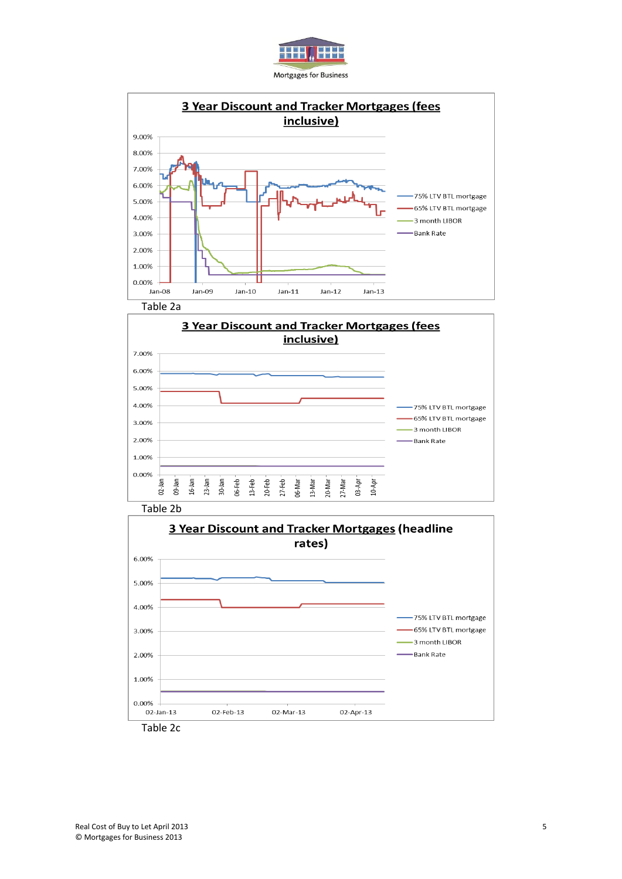



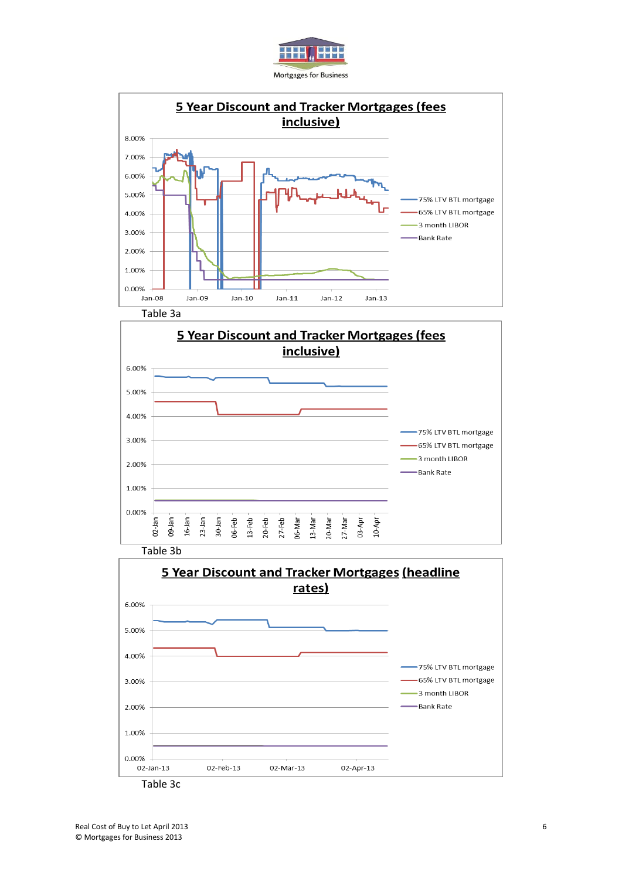





Table 3b

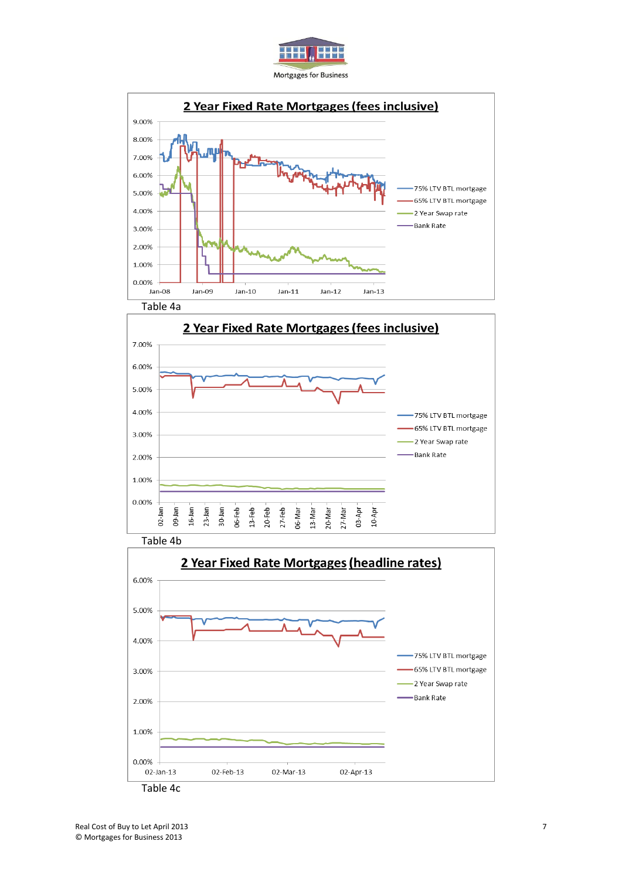





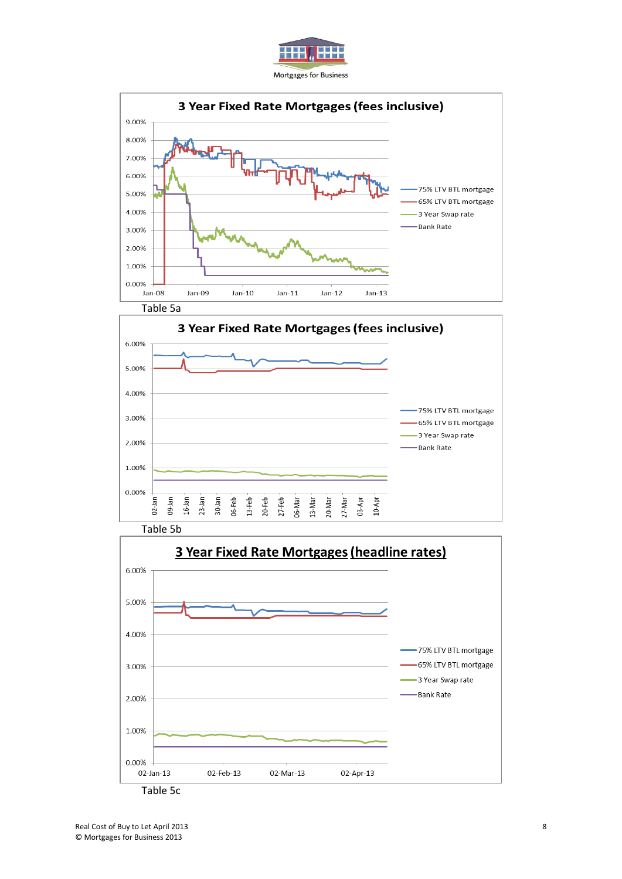





Table 5b

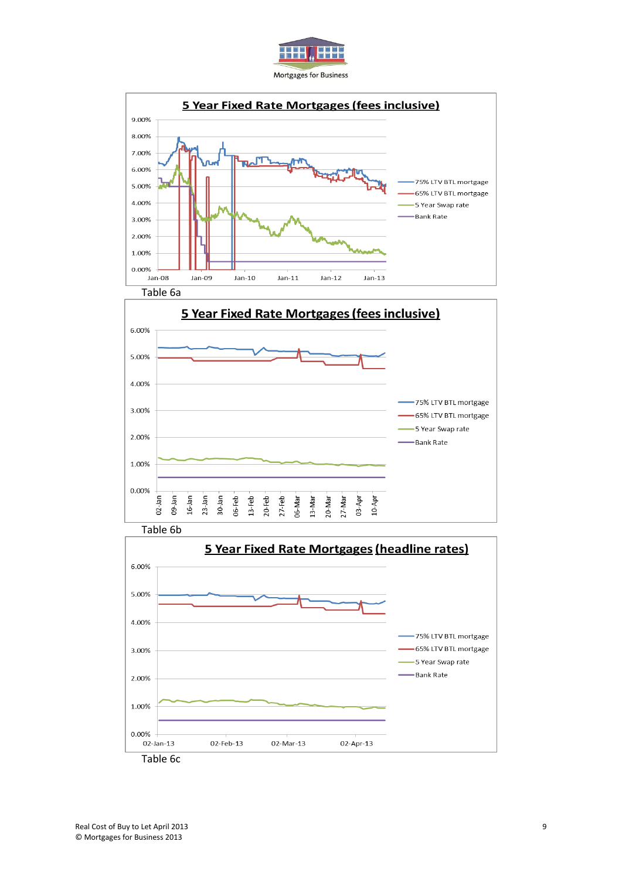





Table 6b

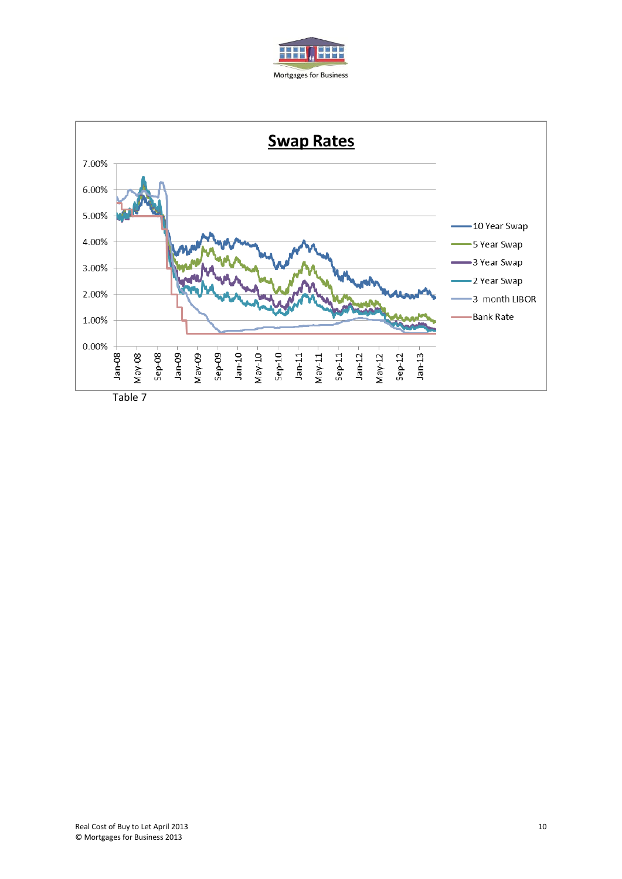